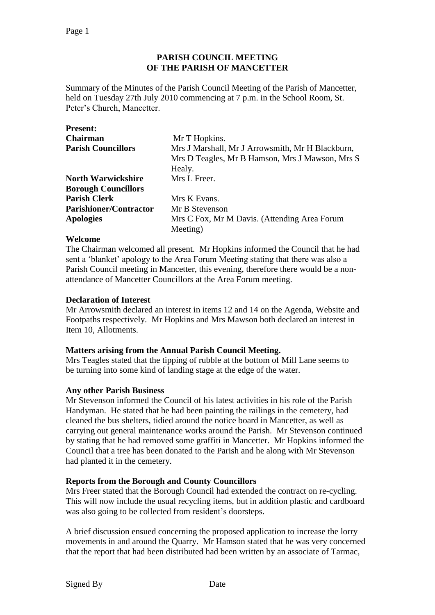## **PARISH COUNCIL MEETING OF THE PARISH OF MANCETTER**

Summary of the Minutes of the Parish Council Meeting of the Parish of Mancetter, held on Tuesday 27th July 2010 commencing at 7 p.m. in the School Room, St. Peter's Church, Mancetter.

| <b>Present:</b>               |                                                  |
|-------------------------------|--------------------------------------------------|
| <b>Chairman</b>               | Mr T Hopkins.                                    |
| <b>Parish Councillors</b>     | Mrs J Marshall, Mr J Arrowsmith, Mr H Blackburn, |
|                               | Mrs D Teagles, Mr B Hamson, Mrs J Mawson, Mrs S  |
|                               | Healy.                                           |
| <b>North Warwickshire</b>     | Mrs L Freer.                                     |
| <b>Borough Councillors</b>    |                                                  |
| <b>Parish Clerk</b>           | Mrs K Evans.                                     |
| <b>Parishioner/Contractor</b> | Mr B Stevenson                                   |
| <b>Apologies</b>              | Mrs C Fox, Mr M Davis. (Attending Area Forum     |
|                               | Meeting)                                         |

### **Welcome**

The Chairman welcomed all present. Mr Hopkins informed the Council that he had sent a 'blanket' apology to the Area Forum Meeting stating that there was also a Parish Council meeting in Mancetter, this evening, therefore there would be a nonattendance of Mancetter Councillors at the Area Forum meeting.

### **Declaration of Interest**

Mr Arrowsmith declared an interest in items 12 and 14 on the Agenda, Website and Footpaths respectively. Mr Hopkins and Mrs Mawson both declared an interest in Item 10, Allotments.

# **Matters arising from the Annual Parish Council Meeting.**

Mrs Teagles stated that the tipping of rubble at the bottom of Mill Lane seems to be turning into some kind of landing stage at the edge of the water.

### **Any other Parish Business**

Mr Stevenson informed the Council of his latest activities in his role of the Parish Handyman. He stated that he had been painting the railings in the cemetery, had cleaned the bus shelters, tidied around the notice board in Mancetter, as well as carrying out general maintenance works around the Parish. Mr Stevenson continued by stating that he had removed some graffiti in Mancetter. Mr Hopkins informed the Council that a tree has been donated to the Parish and he along with Mr Stevenson had planted it in the cemetery.

# **Reports from the Borough and County Councillors**

Mrs Freer stated that the Borough Council had extended the contract on re-cycling. This will now include the usual recycling items, but in addition plastic and cardboard was also going to be collected from resident's doorsteps.

A brief discussion ensued concerning the proposed application to increase the lorry movements in and around the Quarry. Mr Hamson stated that he was very concerned that the report that had been distributed had been written by an associate of Tarmac,